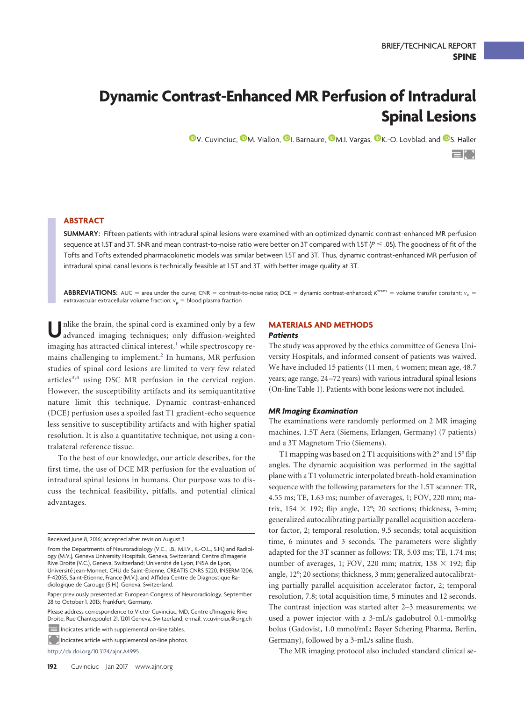# **Dynamic Contrast-Enhanced MR Perfusion of Intradural Spinal Lesions**

**D[V. Cuvinciuc,](http://orcid.org/0000-0003-0596-4047) D[M. Viallon,](http://orcid.org/0000-0001-9118-0438) D[I. Barnaure,](http://orcid.org/0000-0003-4052-4899) D[M.I. Vargas,](http://orcid.org/0000-0002-6571-5336) D[K.-O. Lovblad,](http://orcid.org/0000-0003-2768-9779) and D[S. Haller](http://orcid.org/0000-0001-7433-0203)** 

 $=$  [  $\cdot$  ]

# **ABSTRACT**

**SUMMARY:** Fifteen patients with intradural spinal lesions were examined with an optimized dynamic contrast-enhanced MR perfusion sequence at 1.5T and 3T. SNR and mean contrast-to-noise ratio were better on 3T compared with 1.5T (P  $\leq$  .05). The goodness of fit of the Tofts and Tofts extended pharmacokinetic models was similar between 1.5T and 3T. Thus, dynamic contrast-enhanced MR perfusion of intradural spinal canal lesions is technically feasible at 1.5T and 3T, with better image quality at 3T.

**ABBREVIATIONS:** AUC = area under the curve; CNR = contrast-to-noise ratio; DCE = dynamic contrast-enhanced; *K<sup>trans</sup> = volume transfer constant; v<sub>e</sub> =* extravascular extracellular volume fraction;  $v_{\mathrm{p}} =$  blood plasma fraction

Unlike the brain, the spinal cord is examined only by a few advanced imaging techniques; only diffusion-weighted imaging has attracted clinical interest, $<sup>1</sup>$  $<sup>1</sup>$  $<sup>1</sup>$  while spectroscopy re-</sup> mains challenging to implement.<sup>[2](#page-2-1)</sup> In humans, MR perfusion studies of spinal cord lesions are limited to very few related articles $3,4$  $3,4$  using DSC MR perfusion in the cervical region. However, the susceptibility artifacts and its semiquantitative nature limit this technique. Dynamic contrast-enhanced (DCE) perfusion uses a spoiled fast T1 gradient-echo sequence less sensitive to susceptibility artifacts and with higher spatial resolution. It is also a quantitative technique, not using a contralateral reference tissue.

To the best of our knowledge, our article describes, for the first time, the use of DCE MR perfusion for the evaluation of intradural spinal lesions in humans. Our purpose was to discuss the technical feasibility, pitfalls, and potential clinical advantages.

Please address correspondence to Victor Cuvinciuc, MD, Centre d'Imagerie Rive Droite, Rue Chantepoulet 21, 1201 Geneva, Switzerland; e-mail: v.cuvinciuc@cirg.ch

Indicates article with supplemental on-line tables.

Indicates article with supplemental on-line photos.

http://dx.doi.org/10.3174/ajnr.A4995

# **MATERIALS AND METHODS**

### *Patients*

The study was approved by the ethics committee of Geneva University Hospitals, and informed consent of patients was waived. We have included 15 patients (11 men, 4 women; mean age, 48.7 years; age range, 24 –72 years) with various intradural spinal lesions (On-line Table 1). Patients with bone lesions were not included.

#### *MR Imaging Examination*

The examinations were randomly performed on 2 MR imaging machines, 1.5T Aera (Siemens, Erlangen, Germany) (7 patients) and a 3T Magnetom Trio (Siemens).

T1 mapping was based on 2 T1 acquisitions with 2° and 15° flip angles. The dynamic acquisition was performed in the sagittal plane with a T1 volumetric interpolated breath-hold examination sequence with the following parameters for the 1.5T scanner: TR, 4.55 ms; TE, 1.63 ms; number of averages, 1; FOV, 220 mm; matrix,  $154 \times 192$ ; flip angle,  $12^{\circ}$ ; 20 sections; thickness, 3-mm; generalized autocalibrating partially parallel acquisition accelerator factor, 2; temporal resolution, 9.5 seconds; total acquisition time, 6 minutes and 3 seconds. The parameters were slightly adapted for the 3T scanner as follows: TR, 5.03 ms; TE, 1.74 ms; number of averages, 1; FOV, 220 mm; matrix,  $138 \times 192$ ; flip angle, 12°; 20 sections; thickness, 3 mm; generalized autocalibrating partially parallel acquisition accelerator factor, 2; temporal resolution, 7.8; total acquisition time, 5 minutes and 12 seconds. The contrast injection was started after 2–3 measurements; we used a power injector with a 3-mL/s gadobutrol 0.1-mmol/kg bolus (Gadovist, 1.0 mmol/mL; Bayer Schering Pharma, Berlin, Germany), followed by a 3-mL/s saline flush.

The MR imaging protocol also included standard clinical se-

Received June 8, 2016; accepted after revision August 3.

From the Departments of Neuroradiology (V.C., I.B., M.I.V., K.-O.L., S.H.) and Radiology (M.V.), Geneva University Hospitals, Geneva, Switzerland; Centre d'Imagerie Rive Droite (V.C.), Geneva, Switzerland; Université de Lyon, INSA de Lyon, Université Jean-Monnet, CHU de Saint-Etienne, CREATIS CNRS 5220, INSERM 1206, F-42055, Saint-Etienne, France (M.V.); and Affidea Centre de Diagnostique Radiologique de Carouge (S.H.), Geneva, Switzerland.

Paper previously presented at: European Congress of Neuroradiology, September 28 to October 1, 2013; Frankfurt, Germany.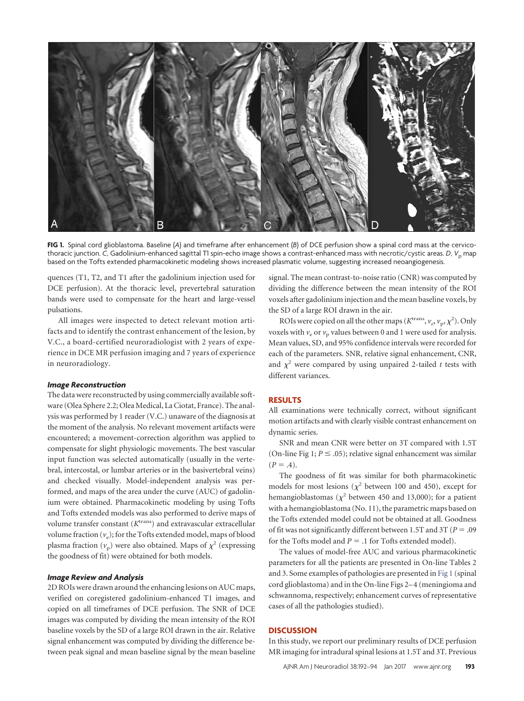<span id="page-1-0"></span>

**FIG 1.** Spinal cord glioblastoma. Baseline (*A*) and timeframe after enhancement (*B*) of DCE perfusion show a spinal cord mass at the cervicothoracic junction. *C*, Gadolinium-enhanced sagittal TI spin-echo image shows a contrast-enhanced mass with necrotic/cystic areas. *D*, *V*<sub>p</sub> map based on the Tofts extended pharmacokinetic modeling shows increased plasmatic volume, suggesting increased neoangiogenesis.

quences (T1, T2, and T1 after the gadolinium injection used for DCE perfusion). At the thoracic level, prevertebral saturation bands were used to compensate for the heart and large-vessel pulsations.

All images were inspected to detect relevant motion artifacts and to identify the contrast enhancement of the lesion, by V.C., a board-certified neuroradiologist with 2 years of experience in DCE MR perfusion imaging and 7 years of experience in neuroradiology.

#### *Image Reconstruction*

The data were reconstructed by using commercially available software (Olea Sphere 2.2; Olea Medical, La Ciotat, France). The analysis was performed by 1 reader (V.C.) unaware of the diagnosis at the moment of the analysis. No relevant movement artifacts were encountered; a movement-correction algorithm was applied to compensate for slight physiologic movements. The best vascular input function was selected automatically (usually in the vertebral, intercostal, or lumbar arteries or in the basivertebral veins) and checked visually. Model-independent analysis was performed, and maps of the area under the curve (AUC) of gadolinium were obtained. Pharmacokinetic modeling by using Tofts and Tofts extended models was also performed to derive maps of volume transfer constant (*K*trans) and extravascular extracellular volume fraction  $(v_e)$ ; for the Tofts extended model, maps of blood plasma fraction  $(v_p)$  were also obtained. Maps of  $\chi^2$  (expressing the goodness of fit) were obtained for both models.

#### *Image Review and Analysis*

2D ROIs were drawn around the enhancing lesions on AUC maps, verified on coregistered gadolinium-enhanced T1 images, and copied on all timeframes of DCE perfusion. The SNR of DCE images was computed by dividing the mean intensity of the ROI baseline voxels by the SD of a large ROI drawn in the air. Relative signal enhancement was computed by dividing the difference between peak signal and mean baseline signal by the mean baseline

signal. The mean contrast-to-noise ratio (CNR) was computed by dividing the difference between the mean intensity of the ROI voxels after gadolinium injection and the mean baseline voxels, by the SD of a large ROI drawn in the air.

ROIs were copied on all the other maps ( $K^{\text{trans}}, v_e, v_p, \chi^2$ ). Only voxels with  $v_e$  or  $v_p$  values between 0 and 1 were used for analysis. Mean values, SD, and 95% confidence intervals were recorded for each of the parameters. SNR, relative signal enhancement, CNR, and  $\chi^2$  were compared by using unpaired 2-tailed *t* tests with different variances.

# **RESULTS**

All examinations were technically correct, without significant motion artifacts and with clearly visible contrast enhancement on dynamic series.

SNR and mean CNR were better on 3T compared with 1.5T (On-line Fig 1;  $P \leq .05$ ); relative signal enhancement was similar  $(P = .4)$ .

The goodness of fit was similar for both pharmacokinetic models for most lesions ( $\chi^2$  between 100 and 450), except for hemangioblastomas ( $\chi^2$  between 450 and 13,000); for a patient with a hemangioblastoma (No. 11), the parametric maps based on the Tofts extended model could not be obtained at all. Goodness of fit was not significantly different between 1.5T and 3T ( $P = .09$ for the Tofts model and  $P = .1$  for Tofts extended model).

The values of model-free AUC and various pharmacokinetic parameters for all the patients are presented in On-line Tables 2 and 3. Some examples of pathologies are presented in [Fig 1](#page-1-0) (spinal cord glioblastoma) and in the On-line Figs 2–4 (meningioma and schwannoma, respectively; enhancement curves of representative cases of all the pathologies studied).

#### **DISCUSSION**

In this study, we report our preliminary results of DCE perfusion MR imaging for intradural spinal lesions at 1.5T and 3T. Previous